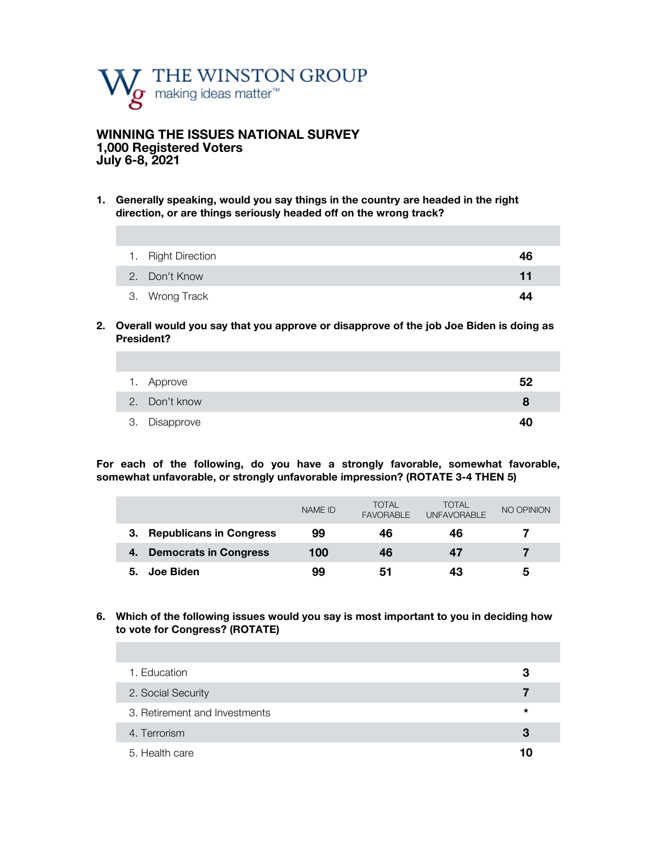

# **WINNING THE ISSUES NATIONAL SURVEY 1,000 Registered Voters July 6-8, 2021**

**1. Generally speaking, would you say things in the country are headed in the right direction, or are things seriously headed off on the wrong track?** 

| 1. Right Direction | 46 |
|--------------------|----|
| 2. Don't Know      | 11 |
| 3. Wrong Track     | 44 |

**2. Overall would you say that you approve or disapprove of the job Joe Biden is doing as President?**

| 1. Approve    | 52 |
|---------------|----|
| 2. Don't know | 8  |
| 3. Disapprove | 4በ |

**For each of the following, do you have a strongly favorable, somewhat favorable, somewhat unfavorable, or strongly unfavorable impression? (ROTATE 3-4 THEN 5)**

|                                    | NAME ID | <b>TOTAL</b><br><b>FAVORABLE</b> | TOTAL<br><b>UNFAVORABLE</b> | NO OPINION |
|------------------------------------|---------|----------------------------------|-----------------------------|------------|
| <b>Republicans in Congress</b>     | 99      | 46                               | 46                          |            |
| <b>Democrats in Congress</b><br>4. | 100     | 46                               | 47                          |            |
| Joe Biden<br>5.                    | 99      | 51                               | 43                          | 5          |

### **6. Which of the following issues would you say is most important to you in deciding how to vote for Congress? (ROTATE)**

| 1. Education                  | з  |
|-------------------------------|----|
| 2. Social Security            |    |
| 3. Retirement and Investments | *  |
| 4. Terrorism                  | З  |
| 5. Health care                | 10 |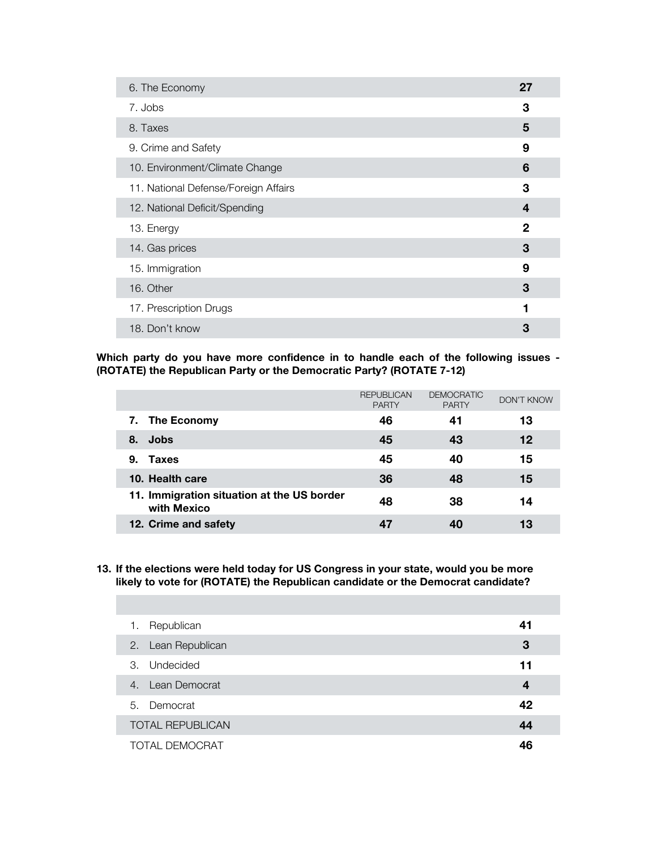| 6. The Economy                       | 27           |
|--------------------------------------|--------------|
| 7. Jobs                              | 3            |
| 8. Taxes                             | 5            |
| 9. Crime and Safety                  | 9            |
| 10. Environment/Climate Change       | 6            |
| 11. National Defense/Foreign Affairs | 3            |
| 12. National Deficit/Spending        | 4            |
| 13. Energy                           | $\mathbf{2}$ |
| 14. Gas prices                       | 3            |
| 15. Immigration                      | 9            |
| 16. Other                            | 3            |
| 17. Prescription Drugs               | 1            |
| 18. Don't know                       | 3            |

**Which party do you have more confidence in to handle each of the following issues - (ROTATE) the Republican Party or the Democratic Party? (ROTATE 7-12)**

|                                                           | <b>REPUBLICAN</b><br><b>PARTY</b> | <b>DEMOCRATIC</b><br><b>PARTY</b> | DON'T KNOW |
|-----------------------------------------------------------|-----------------------------------|-----------------------------------|------------|
| 7. The Economy                                            | 46                                | 41                                | 13         |
| Jobs<br>8.                                                | 45                                | 43                                | 12         |
| <b>Taxes</b><br>9.                                        | 45                                | 40                                | 15         |
| 10. Health care                                           | 36                                | 48                                | 15         |
| 11. Immigration situation at the US border<br>with Mexico | 48                                | 38                                | 14         |
| 12. Crime and safety                                      |                                   |                                   | 13         |

**13. If the elections were held today for US Congress in your state, would you be more likely to vote for (ROTATE) the Republican candidate or the Democrat candidate?** 

| 1. | Republican              | 41               |
|----|-------------------------|------------------|
|    | 2. Lean Republican      | 3                |
| 3. | Undecided               | 11               |
|    | 4. Lean Democrat        | $\boldsymbol{4}$ |
|    | 5. Democrat             | 42               |
|    | <b>TOTAL REPUBLICAN</b> | 44               |
|    | <b>TOTAL DEMOCRAT</b>   | 46               |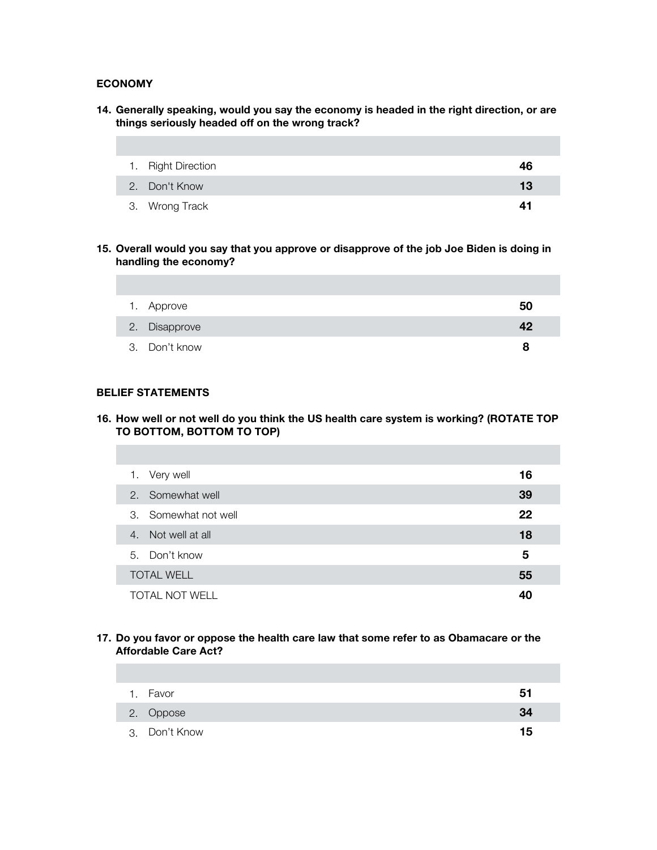# **ECONOMY**

**14. Generally speaking, would you say the economy is headed in the right direction, or are things seriously headed off on the wrong track?** 

| 1. Right Direction | 46 |
|--------------------|----|
| 2. Don't Know      | 13 |
| 3. Wrong Track     | 41 |

**15. Overall would you say that you approve or disapprove of the job Joe Biden is doing in handling the economy?**

| 1. Approve    | 50 |
|---------------|----|
| 2. Disapprove | 42 |
| 3. Don't know | 8  |

### **BELIEF STATEMENTS**

**16. How well or not well do you think the US health care system is working? (ROTATE TOP TO BOTTOM, BOTTOM TO TOP)**

| 1. Very well          | 16 |
|-----------------------|----|
| 2. Somewhat well      | 39 |
| 3. Somewhat not well  | 22 |
| 4. Not well at all    | 18 |
| 5. Don't know         | 5  |
| <b>TOTAL WELL</b>     | 55 |
| <b>TOTAL NOT WELL</b> |    |

## **17. Do you favor or oppose the health care law that some refer to as Obamacare or the Affordable Care Act?**

| $\mathbf{1}$ | Favor         | 51 |
|--------------|---------------|----|
|              | 2. Oppose     | 34 |
|              | 3. Don't Know | 15 |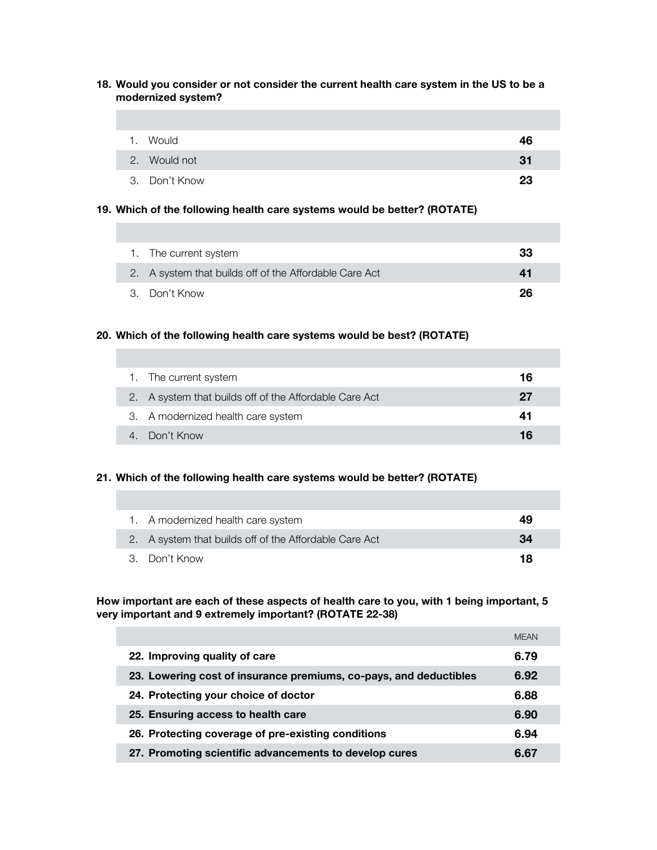### **18. Would you consider or not consider the current health care system in the US to be a modernized system?**

| 1. Would      | 46  |
|---------------|-----|
| 2. Would not  | -31 |
| 3. Don't Know | 23  |

#### **19. Which of the following health care systems would be better? (ROTATE)**

| 1. The current system                                  | 33 |
|--------------------------------------------------------|----|
| 2. A system that builds off of the Affordable Care Act | 41 |
| 3. Don't Know                                          | 26 |

### **20. Which of the following health care systems would be best? (ROTATE)**

| 1. The current system                                  | 16 |
|--------------------------------------------------------|----|
| 2. A system that builds off of the Affordable Care Act | 27 |
| 3. A modernized health care system                     | 41 |
| 4. Don't Know                                          | 16 |

## **21. Which of the following health care systems would be better? (ROTATE)**

| 1. A modernized health care system                     | 49 |
|--------------------------------------------------------|----|
| 2. A system that builds off of the Affordable Care Act | 34 |
| 3. Don't Know                                          | 18 |

**How important are each of these aspects of health care to you, with 1 being important, 5 very important and 9 extremely important? (ROTATE 22-38)**

|                                                                   | <b>MEAN</b> |
|-------------------------------------------------------------------|-------------|
| 22. Improving quality of care                                     | 6.79        |
| 23. Lowering cost of insurance premiums, co-pays, and deductibles | 6.92        |
| 24. Protecting your choice of doctor                              | 6.88        |
| 25. Ensuring access to health care                                | 6.90        |
| 26. Protecting coverage of pre-existing conditions                | 6.94        |
| 27. Promoting scientific advancements to develop cures            | 6.67        |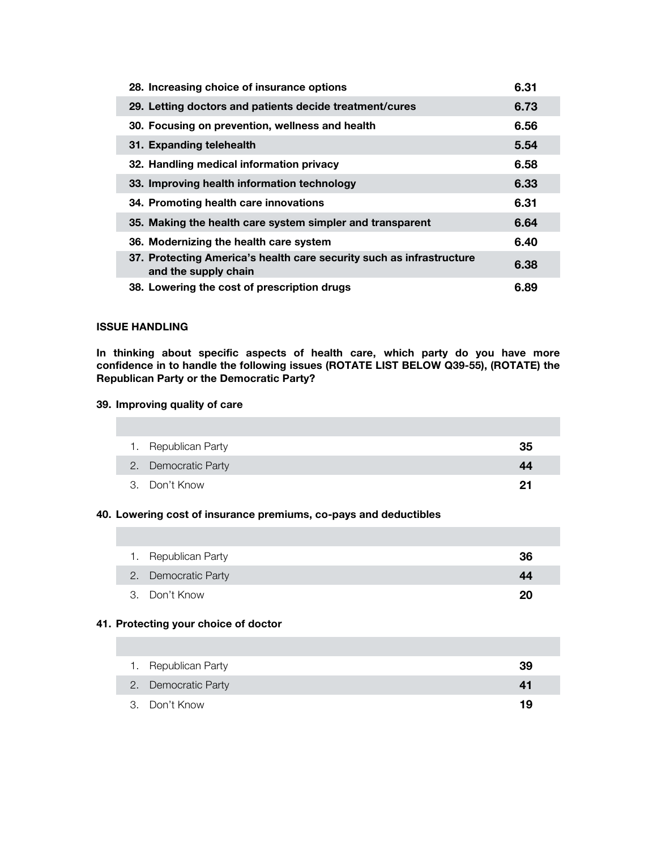| 28. Increasing choice of insurance options                                                   | 6.31 |
|----------------------------------------------------------------------------------------------|------|
| 29. Letting doctors and patients decide treatment/cures                                      | 6.73 |
| 30. Focusing on prevention, wellness and health                                              | 6.56 |
| 31. Expanding telehealth                                                                     | 5.54 |
| 32. Handling medical information privacy                                                     | 6.58 |
| 33. Improving health information technology                                                  | 6.33 |
| 34. Promoting health care innovations                                                        | 6.31 |
| 35. Making the health care system simpler and transparent                                    | 6.64 |
| 36. Modernizing the health care system                                                       | 6.40 |
| 37. Protecting America's health care security such as infrastructure<br>and the supply chain | 6.38 |
| 38. Lowering the cost of prescription drugs                                                  | 6.89 |

## **ISSUE HANDLING**

**In thinking about specific aspects of health care, which party do you have more confidence in to handle the following issues (ROTATE LIST BELOW Q39-55), (ROTATE) the Republican Party or the Democratic Party?** 

## **39. Improving quality of care**

| 1. Republican Party | 35 |
|---------------------|----|
| 2. Democratic Party | 44 |
| 3. Don't Know       | 21 |

# **40. Lowering cost of insurance premiums, co-pays and deductibles**

| 1. Republican Party | 36 |
|---------------------|----|
| 2. Democratic Party | 44 |
| 3. Don't Know       | 20 |

### **41. Protecting your choice of doctor**

| 1. Republican Party | 39 |
|---------------------|----|
| 2. Democratic Party | 41 |
| 3. Don't Know       | 19 |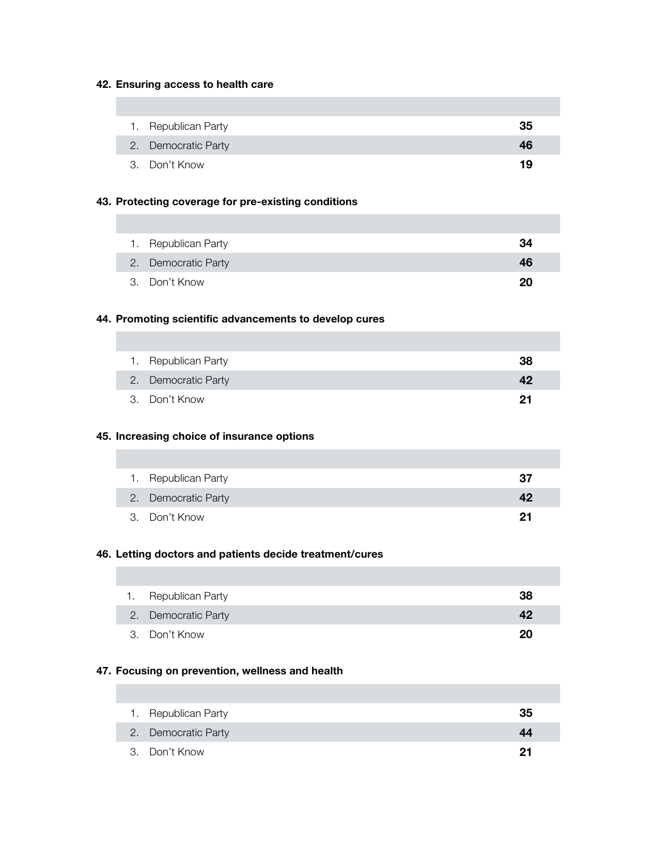### **42. Ensuring access to health care**

| 1. Republican Party | 35 |
|---------------------|----|
| 2. Democratic Party | 46 |
| 3. Don't Know       | 19 |

### **43. Protecting coverage for pre-existing conditions**

| 1. Republican Party | 34 |
|---------------------|----|
| 2. Democratic Party | 46 |
| 3. Don't Know       | 20 |

# **44. Promoting scientific advancements to develop cures**

| 1. Republican Party | 38 |
|---------------------|----|
| 2. Democratic Party | 42 |
| 3. Don't Know       | 21 |

## **45. Increasing choice of insurance options**

| 1. Republican Party | 37 |
|---------------------|----|
| 2. Democratic Party | 42 |
| 3. Don't Know       | 21 |

### **46. Letting doctors and patients decide treatment/cures**

| 1. Republican Party | 38 |
|---------------------|----|
| 2. Democratic Party | 42 |
| 3. Don't Know       | 20 |

### **47. Focusing on prevention, wellness and health**

| 1. Republican Party | 35 |
|---------------------|----|
| 2. Democratic Party | 44 |
| 3. Don't Know       | 21 |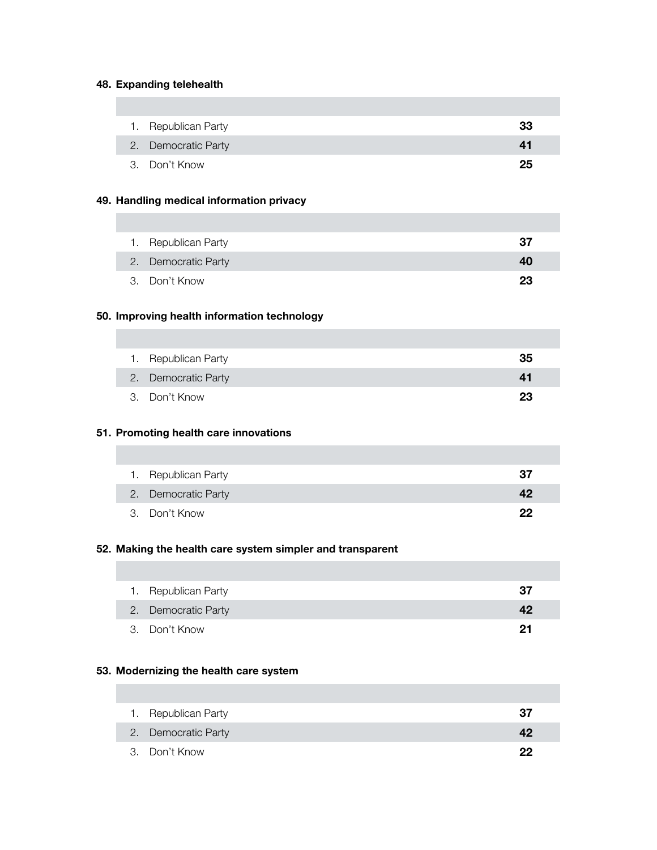# **48. Expanding telehealth**

I

| 1. Republican Party | 33 |
|---------------------|----|
| 2. Democratic Party | 41 |
| 3. Don't Know       | 25 |

### **49. Handling medical information privacy**

| 1. Republican Party | 37 |
|---------------------|----|
| 2. Democratic Party | 40 |
| 3. Don't Know       | 23 |

### **50. Improving health information technology**

| 1. Republican Party | 35 |
|---------------------|----|
| 2. Democratic Party | 41 |
| 3. Don't Know       | 23 |

### **51. Promoting health care innovations**

| 1. Republican Party | 37 |
|---------------------|----|
| 2. Democratic Party | 42 |
| 3. Don't Know       | クク |

### **52. Making the health care system simpler and transparent**

| 1. Republican Party | 37 |
|---------------------|----|
| 2. Democratic Party | 42 |
| 3. Don't Know       | 21 |

### **53. Modernizing the health care system**

| 1. Republican Party | 37 |
|---------------------|----|
| 2. Democratic Party | 42 |
| 3. Don't Know       | クク |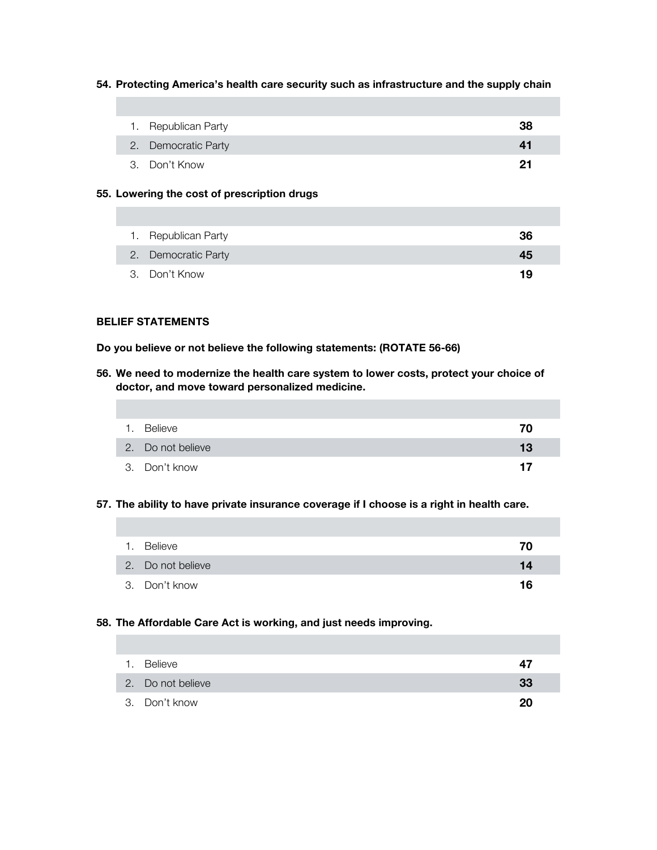#### **54. Protecting America's health care security such as infrastructure and the supply chain**

| 1. Republican Party | 38 |
|---------------------|----|
| 2. Democratic Party | 41 |
| 3. Don't Know       | 21 |

#### **55. Lowering the cost of prescription drugs**

| 1. Republican Party | 36 |
|---------------------|----|
| 2. Democratic Party | 45 |
| 3. Don't Know       | 19 |

## **BELIEF STATEMENTS**

**Do you believe or not believe the following statements: (ROTATE 56-66)**

**56. We need to modernize the health care system to lower costs, protect your choice of doctor, and move toward personalized medicine.**

| 1. Believe        | 70 |
|-------------------|----|
| 2. Do not believe | 13 |
| 3. Don't know     | 17 |

### **57. The ability to have private insurance coverage if I choose is a right in health care.**

| 1. | Believe           | 70 |
|----|-------------------|----|
|    | 2. Do not believe | 14 |
|    | 3. Don't know     | 16 |

# **58. The Affordable Care Act is working, and just needs improving.**

| 1. Believe        | 47 |
|-------------------|----|
| 2. Do not believe | 33 |
| 3. Don't know     | 20 |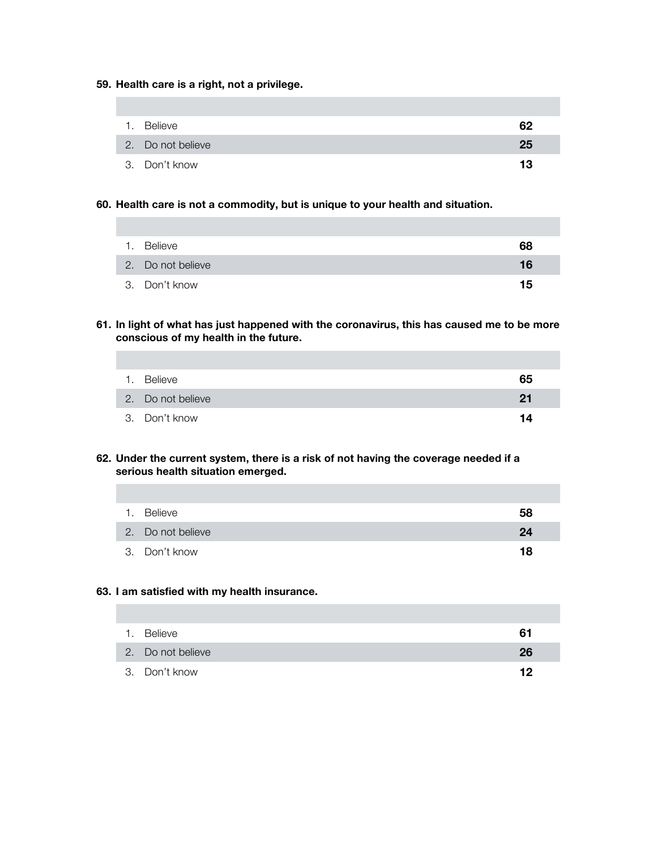### **59. Health care is a right, not a privilege.**

| 1. Believe        | 62 |
|-------------------|----|
| 2. Do not believe | 25 |
| 3. Don't know     | 13 |

### **60. Health care is not a commodity, but is unique to your health and situation.**

| 1. Believe        | 68 |
|-------------------|----|
| 2. Do not believe | 16 |
| 3. Don't know     | 15 |

**61. In light of what has just happened with the coronavirus, this has caused me to be more conscious of my health in the future.**

| 1. | Believe           | 65 |
|----|-------------------|----|
|    | 2. Do not believe | 21 |
|    | 3. Don't know     | 14 |

**62. Under the current system, there is a risk of not having the coverage needed if a serious health situation emerged.**

| 1. Believe        | 58 |
|-------------------|----|
| 2. Do not believe | 24 |
| 3. Don't know     | 18 |

### **63. I am satisfied with my health insurance.**

| 1. | Believe           | 61 |
|----|-------------------|----|
|    | 2. Do not believe | 26 |
|    | 3. Don't know     | 19 |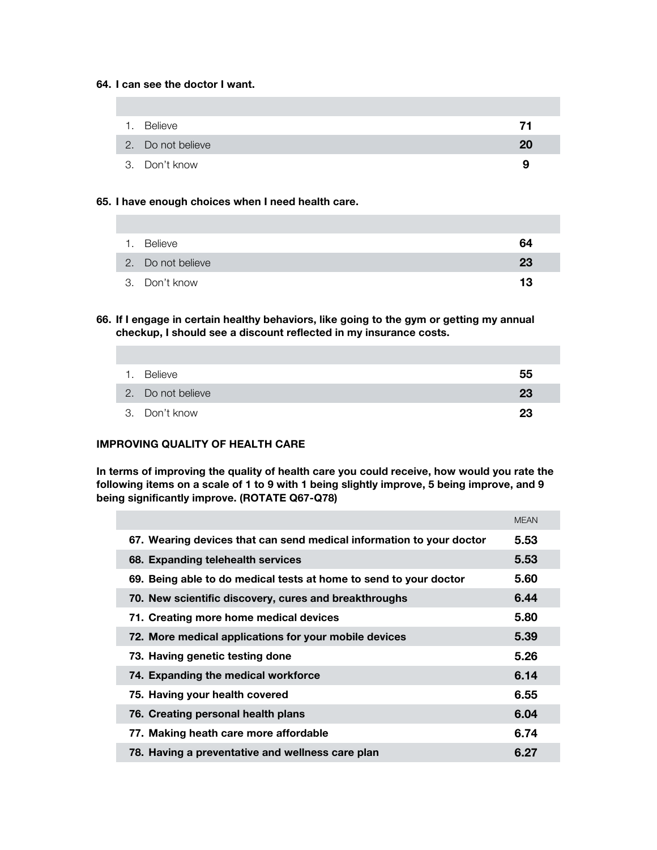### **64. I can see the doctor I want.**

| 1. Believe        | 71 |
|-------------------|----|
| 2. Do not believe | 20 |
| 3. Don't know     | 9  |

## **65. I have enough choices when I need health care.**

| 1. Believe        | 64 |
|-------------------|----|
| 2. Do not believe | 23 |
| 3. Don't know     | 13 |

**66. If I engage in certain healthy behaviors, like going to the gym or getting my annual checkup, I should see a discount reflected in my insurance costs.** 

| 1. Believe        | 55 |
|-------------------|----|
| 2. Do not believe | 23 |
| 3. Don't know     | 23 |

# **IMPROVING QUALITY OF HEALTH CARE**

**In terms of improving the quality of health care you could receive, how would you rate the following items on a scale of 1 to 9 with 1 being slightly improve, 5 being improve, and 9 being significantly improve. (ROTATE Q67-Q78)**

|                                                                      | <b>MEAN</b> |
|----------------------------------------------------------------------|-------------|
| 67. Wearing devices that can send medical information to your doctor | 5.53        |
| 68. Expanding telehealth services                                    | 5.53        |
| 69. Being able to do medical tests at home to send to your doctor    | 5.60        |
| 70. New scientific discovery, cures and breakthroughs                | 6.44        |
| 71. Creating more home medical devices                               | 5.80        |
| 72. More medical applications for your mobile devices                | 5.39        |
| 73. Having genetic testing done                                      | 5.26        |
| 74. Expanding the medical workforce                                  | 6.14        |
| 75. Having your health covered                                       | 6.55        |
| 76. Creating personal health plans                                   | 6.04        |
| 77. Making heath care more affordable                                | 6.74        |
| 78. Having a preventative and wellness care plan                     | 6.27        |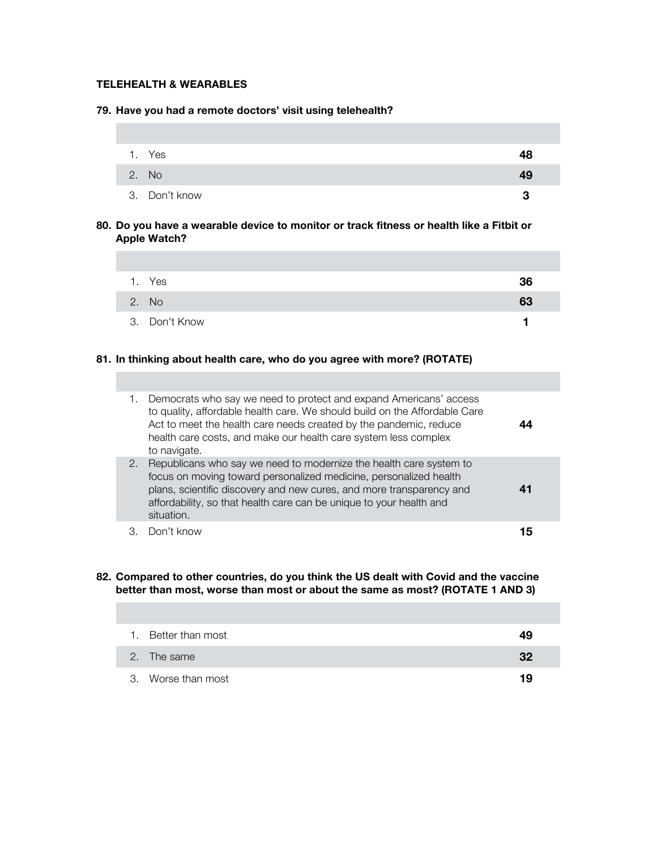# **TELEHEALTH & WEARABLES**

#### **79. Have you had a remote doctors' visit using telehealth?**

| 1. Yes        | 48 |
|---------------|----|
| 2. No         | 49 |
| 3. Don't know | 3  |

## **80. Do you have a wearable device to monitor or track fitness or health like a Fitbit or Apple Watch?**

| Yes           | 36 |
|---------------|----|
| 2. No         | 63 |
| 3. Don't Know |    |

### **81. In thinking about health care, who do you agree with more? (ROTATE)**

|    | Democrats who say we need to protect and expand Americans' access<br>to quality, affordable health care. We should build on the Affordable Care<br>Act to meet the health care needs created by the pandemic, reduce<br>health care costs, and make our health care system less complex<br>to navigate. |     |  |
|----|---------------------------------------------------------------------------------------------------------------------------------------------------------------------------------------------------------------------------------------------------------------------------------------------------------|-----|--|
| 2. | Republicans who say we need to modernize the health care system to<br>focus on moving toward personalized medicine, personalized health<br>plans, scientific discovery and new cures, and more transparency and<br>affordability, so that health care can be unique to your health and<br>situation.    | 41  |  |
|    | Don't know                                                                                                                                                                                                                                                                                              | י ו |  |

**82. Compared to other countries, do you think the US dealt with Covid and the vaccine better than most, worse than most or about the same as most? (ROTATE 1 AND 3)**

| 1. Better than most | 49 |
|---------------------|----|
| 2. The same         | 32 |
| 3. Worse than most  | 19 |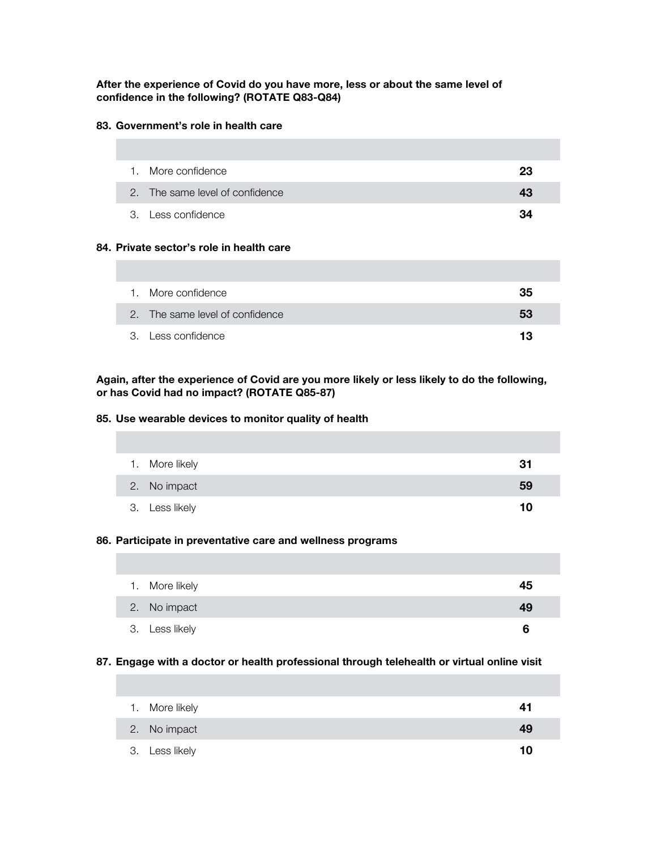### **After the experience of Covid do you have more, less or about the same level of confidence in the following? (ROTATE Q83-Q84)**

## **83. Government's role in health care**

| 1. More confidence              | 23 |
|---------------------------------|----|
| 2. The same level of confidence | 43 |
| 3. Less confidence              | 34 |

# **84. Private sector's role in health care**

| 1. More confidence              | 35 |
|---------------------------------|----|
| 2. The same level of confidence | 53 |
| 3. Less confidence              | 13 |

**Again, after the experience of Covid are you more likely or less likely to do the following, or has Covid had no impact? (ROTATE Q85-87)**

### **85. Use wearable devices to monitor quality of health**

| 1. More likely | 31 |
|----------------|----|
| 2. No impact   | 59 |
| 3. Less likely | 10 |

### **86. Participate in preventative care and wellness programs**

| 1. More likely | 45 |
|----------------|----|
| 2. No impact   | 49 |
| 3. Less likely | 6  |

## **87. Engage with a doctor or health professional through telehealth or virtual online visit**

| 1. More likely | 41 |
|----------------|----|
| 2. No impact   | 49 |
| 3. Less likely | 10 |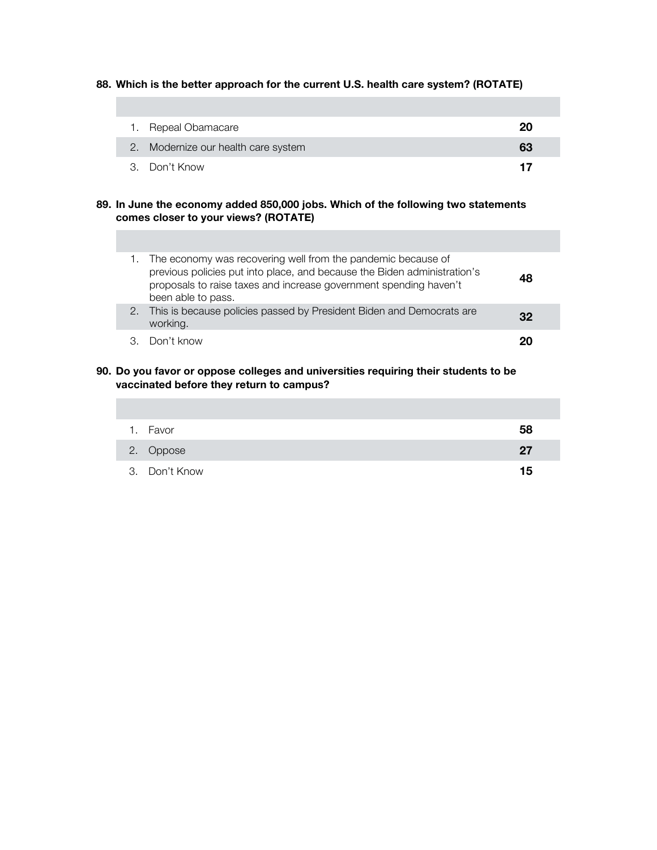## **88. Which is the better approach for the current U.S. health care system? (ROTATE)**

| 1. Repeal Obamacare                 | 20 |
|-------------------------------------|----|
| 2. Modernize our health care system | 63 |
| 3. Don't Know                       | 17 |

### **89. In June the economy added 850,000 jobs. Which of the following two statements comes closer to your views? (ROTATE)**

| 1. The economy was recovering well from the pandemic because of<br>previous policies put into place, and because the Biden administration's<br>proposals to raise taxes and increase government spending haven't<br>been able to pass. | 48 |
|----------------------------------------------------------------------------------------------------------------------------------------------------------------------------------------------------------------------------------------|----|
| 2. This is because policies passed by President Biden and Democrats are<br>working.                                                                                                                                                    | 32 |
| 3 Don't know                                                                                                                                                                                                                           | 20 |

### **90. Do you favor or oppose colleges and universities requiring their students to be vaccinated before they return to campus?**

| 1. Favor      | 58 |
|---------------|----|
| 2. Oppose     | 27 |
| 3. Don't Know | 15 |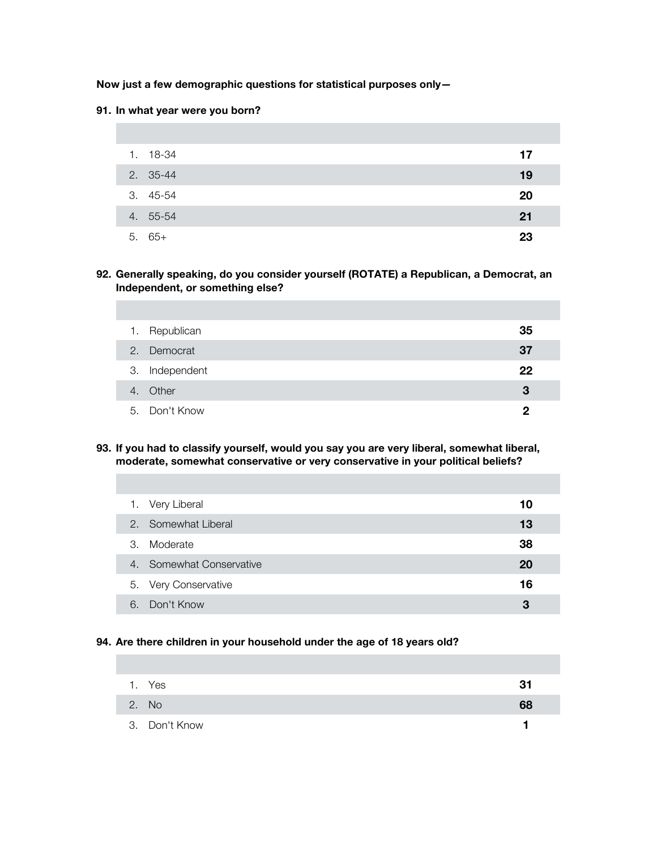### **Now just a few demographic questions for statistical purposes only—**

### **91. In what year were you born?**

| 1. 18-34 | 17 |
|----------|----|
| 2. 35-44 | 19 |
| 3. 45-54 | 20 |
| 4. 55-54 | 21 |
| $5.65+$  | 23 |

### **92. Generally speaking, do you consider yourself (ROTATE) a Republican, a Democrat, an Independent, or something else?**

| 1. Republican  | 35 |
|----------------|----|
| 2. Democrat    | 37 |
| 3. Independent | 22 |
| 4. Other       | З  |
| 5. Don't Know  | 2  |

### **93. If you had to classify yourself, would you say you are very liberal, somewhat liberal, moderate, somewhat conservative or very conservative in your political beliefs?**

|    | 1. Very Liberal          | 10 |
|----|--------------------------|----|
|    | 2. Somewhat Liberal      | 13 |
| 3. | Moderate                 | 38 |
|    | 4. Somewhat Conservative | 20 |
|    | 5. Very Conservative     | 16 |
| 6. | Don't Know               | 3  |

### **94. Are there children in your household under the age of 18 years old?**

| 1. Yes        | 31 |
|---------------|----|
| 2. No         | 68 |
| 3. Don't Know |    |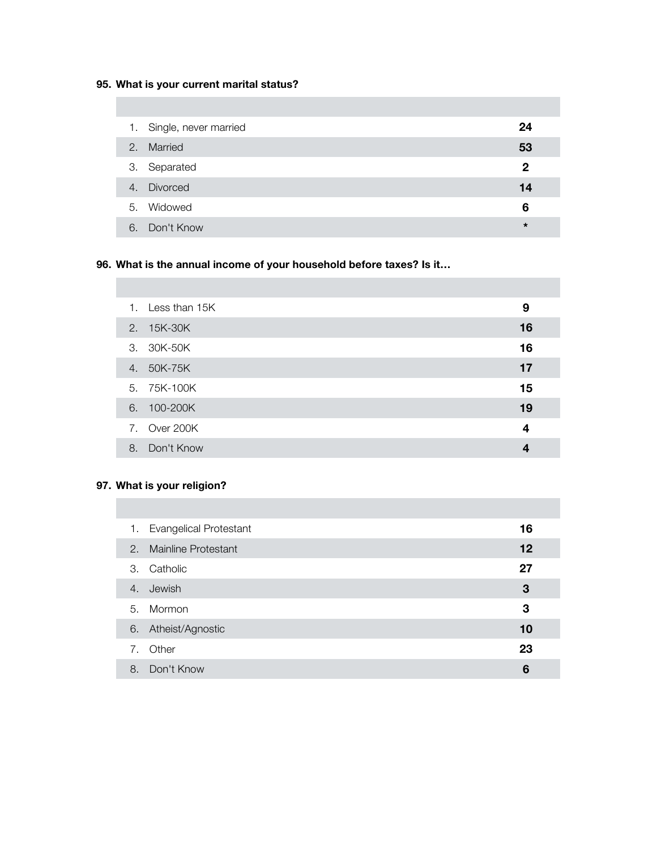# **95. What is your current marital status?**

|    | 1. Single, never married | 24           |
|----|--------------------------|--------------|
| 2. | Married                  | 53           |
|    | 3. Separated             | $\mathbf{2}$ |
|    | 4. Divorced              | 14           |
|    | 5. Widowed               | 6            |
| 6. | Don't Know               | $\star$      |

# **96. What is the annual income of your household before taxes? Is it…**

|    | 1. Less than 15K | 9  |
|----|------------------|----|
|    | 2. 15K-30K       | 16 |
|    | 3. 30K-50K       | 16 |
|    | 4. 50K-75K       | 17 |
|    | 5. 75K-100K      | 15 |
|    | 6. 100-200K      | 19 |
|    | 7. Over 200K     | 4  |
| 8. | Don't Know       | 4  |

# **97. What is your religion?**

| 1. | <b>Evangelical Protestant</b> | 16 |
|----|-------------------------------|----|
| 2. | <b>Mainline Protestant</b>    | 12 |
| 3. | Catholic                      | 27 |
| 4. | Jewish                        | 3  |
| 5. | Mormon                        | 3  |
| 6. | Atheist/Agnostic              | 10 |
| 7. | Other                         | 23 |
| 8. | Don't Know                    | 6  |
|    |                               |    |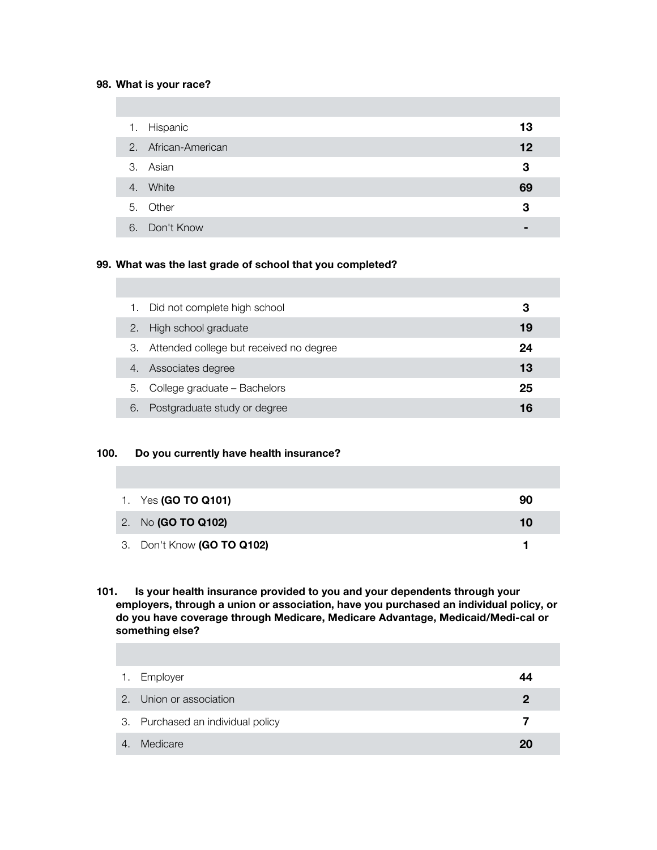#### **98. What is your race?**

| 1. | Hispanic            | 13 |
|----|---------------------|----|
|    | 2. African-American | 12 |
|    | 3. Asian            | 3  |
|    | 4. White            | 69 |
|    | 5. Other            | 3  |
|    | 6. Don't Know       | -  |

## **99. What was the last grade of school that you completed?**

| 1. | Did not complete high school            | З  |
|----|-----------------------------------------|----|
| 2. | High school graduate                    | 19 |
| З. | Attended college but received no degree | 24 |
| 4. | Associates degree                       | 13 |
| 5. | College graduate - Bachelors            | 25 |
| 6. | Postgraduate study or degree            | 16 |

### **100. Do you currently have health insurance?**

| 1. Yes (GO TO Q101)        | 90 |
|----------------------------|----|
| 2. No (GO TO Q102)         | 10 |
| 3. Don't Know (GO TO Q102) |    |

## **101. Is your health insurance provided to you and your dependents through your employers, through a union or association, have you purchased an individual policy, or do you have coverage through Medicare, Medicare Advantage, Medicaid/Medi-cal or something else?**

| 1.             | Employer                          | 44 |
|----------------|-----------------------------------|----|
|                | 2. Union or association           | 2  |
|                | 3. Purchased an individual policy |    |
| $\overline{4}$ | Medicare                          | 20 |